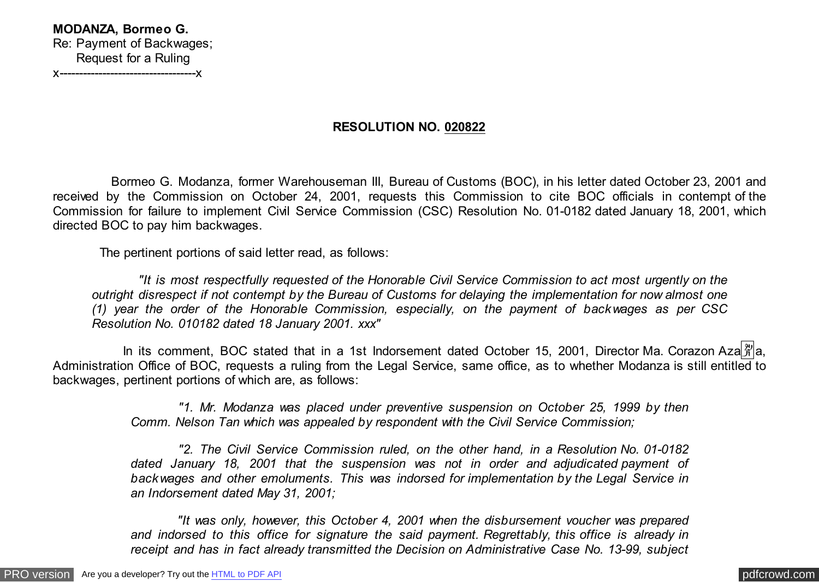## **MODANZA, Bormeo G.** Re: Payment of Backwages; Request for a Ruling x-----------------------------------x

## **RESOLUTION NO. 020822**

 Bormeo G. Modanza, former Warehouseman III, Bureau of Customs (BOC), in his letter dated October 23, 2001 and received by the Commission on October 24, 2001, requests this Commission to cite BOC officials in contempt of the Commission for failure to implement Civil Service Commission (CSC) Resolution No. 01-0182 dated January 18, 2001, which directed BOC to pay him backwages.

The pertinent portions of said letter read, as follows:

 *"It is most respectfully requested of the Honorable Civil Service Commission to act most urgently on the outright disrespect if not contempt by the Bureau of Customs for delaying the implementation for now almost one (1) year the order of the Honorable Commission, especially, on the payment of backwages as per CSC Resolution No. 010182 dated 18 January 2001. xxx"*

In its comment, BOC stated that in a 1st Indorsement dated October 15, 2001, Director Ma. Corazon Aza $\frac{\aleph}{4}$ a, Administration Office of BOC, requests a ruling from the Legal Service, same office, as to whether Modanza is still entitled to backwages, pertinent portions of which are, as follows:

> *"1. Mr. Modanza was placed under preventive suspension on October 25, 1999 by then Comm. Nelson Tan which was appealed by respondent with the Civil Service Commission;*

> *"2. The Civil Service Commission ruled, on the other hand, in a Resolution No. 01-0182 dated January 18, 2001 that the suspension was not in order and adjudicated payment of backwages and other emoluments. This was indorsed for implementation by the Legal Service in an Indorsement dated May 31, 2001;*

> *"It was only, however, this October 4, 2001 when the disbursement voucher was prepared and indorsed to this office for signature the said payment. Regrettably, this office is already in receipt and has in fact already transmitted the Decision on Administrative Case No. 13-99, subject*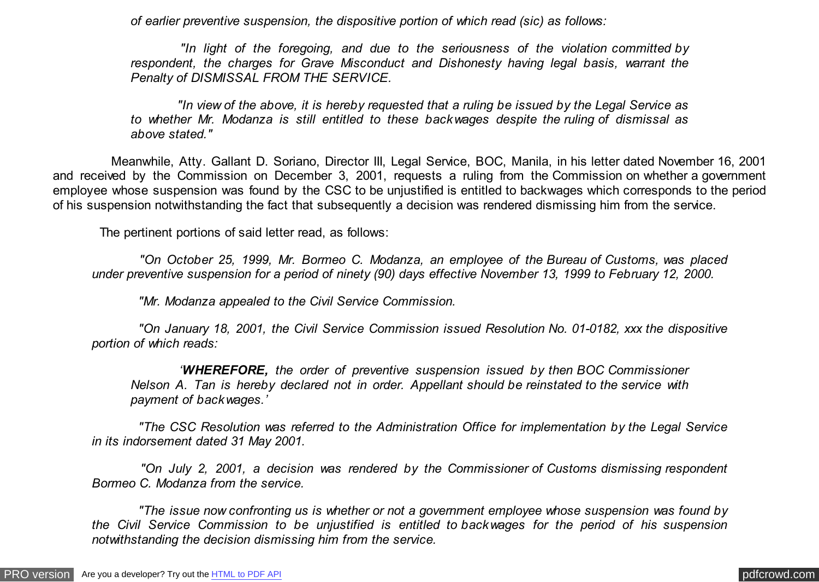*of earlier preventive suspension, the dispositive portion of which read (sic) as follows:*

 *"In light of the foregoing, and due to the seriousness of the violation committed by respondent, the charges for Grave Misconduct and Dishonesty having legal basis, warrant the Penalty of DISMISSAL FROM THE SERVICE.*

 *"In view of the above, it is hereby requested that a ruling be issued by the Legal Service as to whether Mr. Modanza is still entitled to these backwages despite the ruling of dismissal as above stated."*

 Meanwhile, Atty. Gallant D. Soriano, Director III, Legal Service, BOC, Manila, in his letter dated November 16, 2001 and received by the Commission on December 3, 2001, requests a ruling from the Commission on whether a government employee whose suspension was found by the CSC to be unjustified is entitled to backwages which corresponds to the period of his suspension notwithstanding the fact that subsequently a decision was rendered dismissing him from the service.

The pertinent portions of said letter read, as follows:

 *"On October 25, 1999, Mr. Bormeo C. Modanza, an employee of the Bureau of Customs, was placed under preventive suspension for a period of ninety (90) days effective November 13, 1999 to February 12, 2000.*

 *"Mr. Modanza appealed to the Civil Service Commission.*

 *"On January 18, 2001, the Civil Service Commission issued Resolution No. 01-0182, xxx the dispositive portion of which reads:*

 *'WHEREFORE, the order of preventive suspension issued by then BOC Commissioner Nelson A. Tan is hereby declared not in order. Appellant should be reinstated to the service with payment of backwages.'*

 *"The CSC Resolution was referred to the Administration Office for implementation by the Legal Service in its indorsement dated 31 May 2001.*

 *"On July 2, 2001, a decision was rendered by the Commissioner of Customs dismissing respondent Bormeo C. Modanza from the service.*

 *"The issue now confronting us is whether or not a government employee whose suspension was found by the Civil Service Commission to be unjustified is entitled to backwages for the period of his suspension notwithstanding the decision dismissing him from the service.*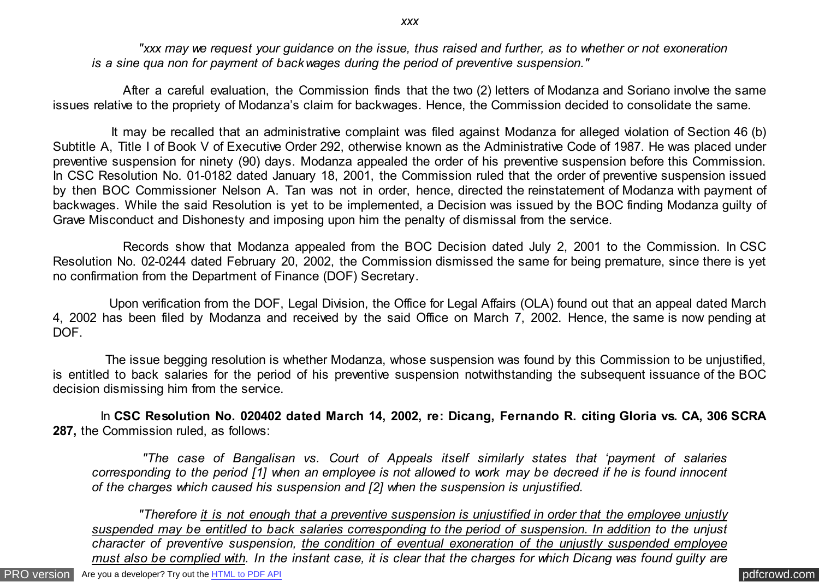*"xxx may we request your guidance on the issue, thus raised and further, as to whether or not exoneration is a sine qua non for payment of backwages during the period of preventive suspension."*

 After a careful evaluation, the Commission finds that the two (2) letters of Modanza and Soriano involve the same issues relative to the propriety of Modanza's claim for backwages. Hence, the Commission decided to consolidate the same.

 It may be recalled that an administrative complaint was filed against Modanza for alleged violation of Section 46 (b) Subtitle A, Title I of Book V of Executive Order 292, otherwise known as the Administrative Code of 1987. He was placed under preventive suspension for ninety (90) days. Modanza appealed the order of his preventive suspension before this Commission. In CSC Resolution No. 01-0182 dated January 18, 2001, the Commission ruled that the order of preventive suspension issued by then BOC Commissioner Nelson A. Tan was not in order, hence, directed the reinstatement of Modanza with payment of backwages. While the said Resolution is yet to be implemented, a Decision was issued by the BOC finding Modanza guilty of Grave Misconduct and Dishonesty and imposing upon him the penalty of dismissal from the service.

 Records show that Modanza appealed from the BOC Decision dated July 2, 2001 to the Commission. In CSC Resolution No. 02-0244 dated February 20, 2002, the Commission dismissed the same for being premature, since there is yet no confirmation from the Department of Finance (DOF) Secretary.

 Upon verification from the DOF, Legal Division, the Office for Legal Affairs (OLA) found out that an appeal dated March 4, 2002 has been filed by Modanza and received by the said Office on March 7, 2002. Hence, the same is now pending at DOF.

 The issue begging resolution is whether Modanza, whose suspension was found by this Commission to be unjustified, is entitled to back salaries for the period of his preventive suspension notwithstanding the subsequent issuance of the BOC decision dismissing him from the service.

 In **CSC Resolution No. 020402 dated March 14, 2002, re: Dicang, Fernando R. citing Gloria vs. CA, 306 SCRA 287,** the Commission ruled, as follows:

 *"The case of Bangalisan vs. Court of Appeals itself similarly states that 'payment of salaries corresponding to the period [1] when an employee is not allowed to work may be decreed if he is found innocent of the charges which caused his suspension and [2] when the suspension is unjustified.*

 *"Therefore it is not enough that a preventive suspension is unjustified in order that the employee unjustly suspended may be entitled to back salaries corresponding to the period of suspension. In addition to the unjust character of preventive suspension, the condition of eventual exoneration of the unjustly suspended employee must also be complied with. In the instant case, it is clear that the charges for which Dicang was found guilty are*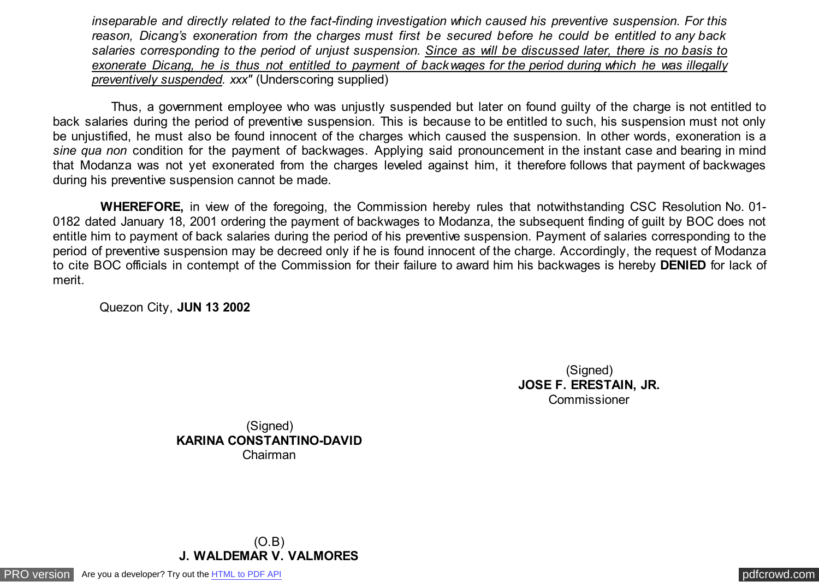*inseparable and directly related to the fact-finding investigation which caused his preventive suspension. For this reason, Dicang's exoneration from the charges must first be secured before he could be entitled to any back salaries corresponding to the period of unjust suspension. Since as will be discussed later, there is no basis to exonerate Dicang, he is thus not entitled to payment of backwages for the period during which he was illegally preventively suspended. xxx"* (Underscoring supplied)

 Thus, a government employee who was unjustly suspended but later on found guilty of the charge is not entitled to back salaries during the period of preventive suspension. This is because to be entitled to such, his suspension must not only be unjustified, he must also be found innocent of the charges which caused the suspension. In other words, exoneration is a *sine qua non* condition for the payment of backwages. Applying said pronouncement in the instant case and bearing in mind that Modanza was not yet exonerated from the charges leveled against him, it therefore follows that payment of backwages during his preventive suspension cannot be made.

 **WHEREFORE,** in view of the foregoing, the Commission hereby rules that notwithstanding CSC Resolution No. 01- 0182 dated January 18, 2001 ordering the payment of backwages to Modanza, the subsequent finding of guilt by BOC does not entitle him to payment of back salaries during the period of his preventive suspension. Payment of salaries corresponding to the period of preventive suspension may be decreed only if he is found innocent of the charge. Accordingly, the request of Modanza to cite BOC officials in contempt of the Commission for their failure to award him his backwages is hereby **DENIED** for lack of merit.

Quezon City, **JUN 13 2002**

(Signed) **JOSE F. ERESTAIN, JR. Commissioner** 

(Signed) **KARINA CONSTANTINO-DAVID** Chairman